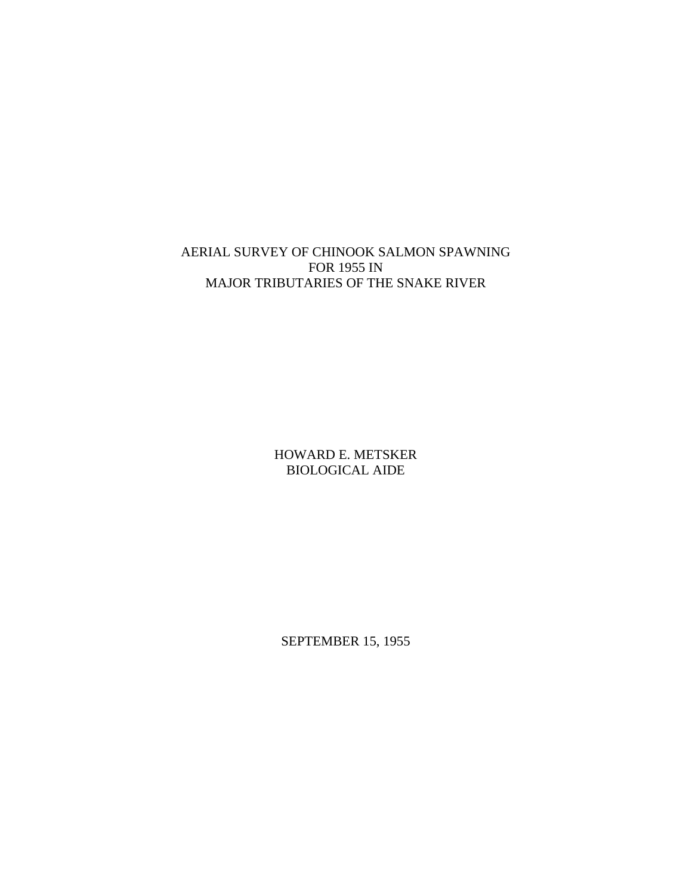# AERIAL SURVEY OF CHINOOK SALMON SPAWNING FOR 1955 IN MAJOR TRIBUTARIES OF THE SNAKE RIVER

HOWARD E. METSKER BIOLOGICAL AIDE

SEPTEMBER 15, 1955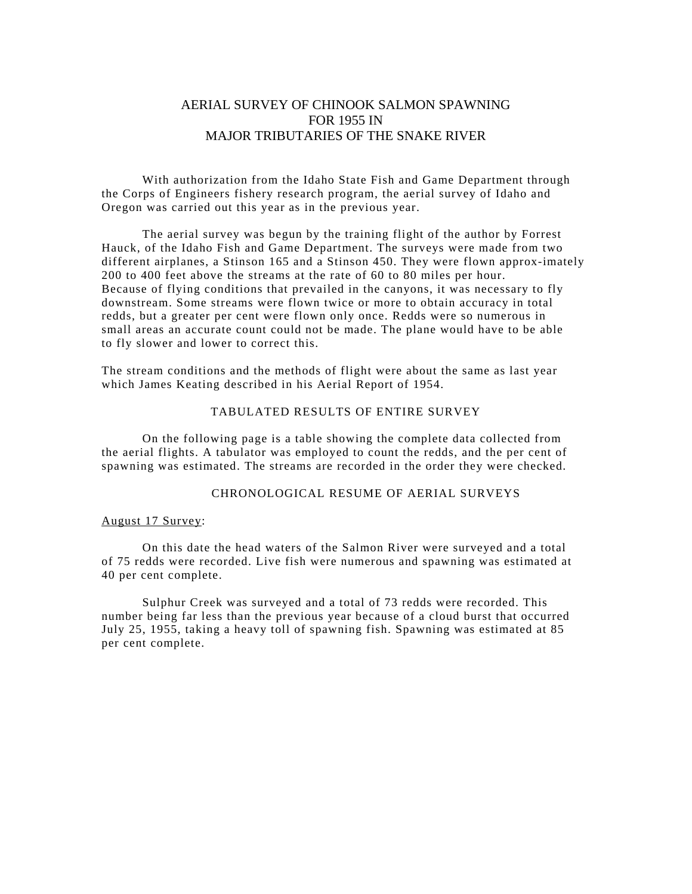## AERIAL SURVEY OF CHINOOK SALMON SPAWNING FOR 1955 IN MAJOR TRIBUTARIES OF THE SNAKE RIVER

With authorization from the Idaho State Fish and Game Department through the Corps of Engineers fishery research program, the aerial survey of Idaho and Oregon was carried out this year as in the previous year.

The aerial survey was begun by the training flight of the author by Forrest Hauck, of the Idaho Fish and Game Department. The surveys were made from two different airplanes, a Stinson 165 and a Stinson 450. They were flown approx-imately 200 to 400 feet above the streams at the rate of 60 to 80 miles per hour. Because of flying conditions that prevailed in the canyons, it was necessary to fly downstream. Some streams were flown twice or more to obtain accuracy in total redds, but a greater per cent were flown only once. Redds were so numerous in small areas an accurate count could not be made. The plane would have to be able to fly slower and lower to correct this.

The stream conditions and the methods of flight were about the same as last year which James Keating described in his Aerial Report of 1954.

### TABULATED RESULTS OF ENTIRE SURVEY

On the following page is a table showing the complete data collected from the aerial flights. A tabulator was employed to count the redds, and the per cent of spawning was estimated. The streams are recorded in the order they were checked.

## CHRONOLOGICAL RESUME OF AERIAL SURVEYS

## August 17 Survey:

On this date the head waters of the Salmon River were surveyed and a total of 75 redds were recorded. Live fish were numerous and spawning was estimated at 40 per cent complete.

Sulphur Creek was surveyed and a total of 73 redds were recorded. This number being far less than the previous year because of a cloud burst that occurred July 25, 1955, taking a heavy toll of spawning fish. Spawning was estimated at 85 per cent complete.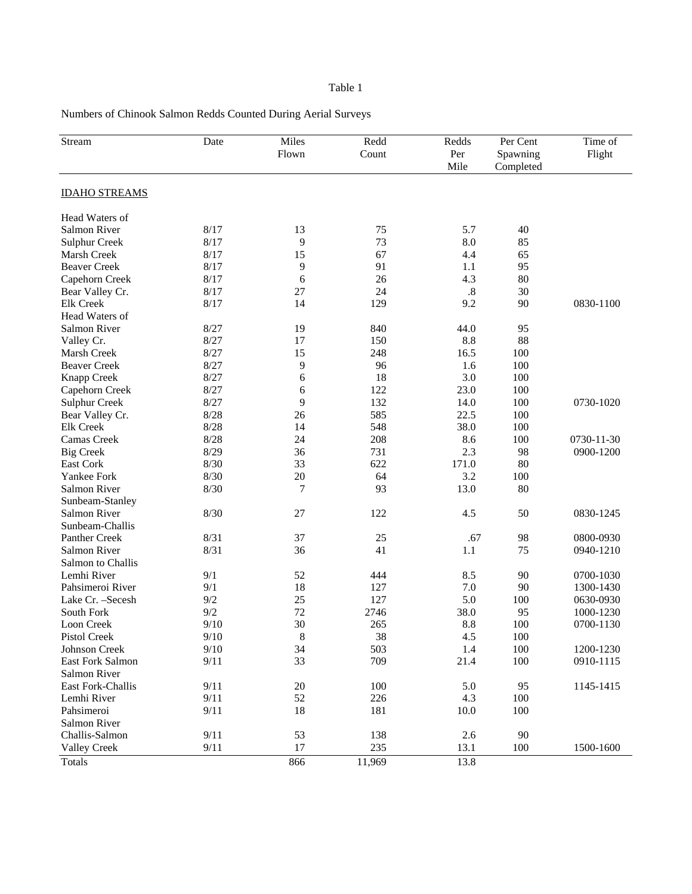## Table 1

Numbers of Chinook Salmon Redds Counted During Aerial Surveys

| Stream               | Date   | Miles<br>Flown | Redd<br>Count | Redds<br>Per<br>Mile | Per Cent<br>Spawning<br>Completed | Time of<br>Flight |
|----------------------|--------|----------------|---------------|----------------------|-----------------------------------|-------------------|
| <b>IDAHO STREAMS</b> |        |                |               |                      |                                   |                   |
| Head Waters of       |        |                |               |                      |                                   |                   |
| Salmon River         | 8/17   | 13             | 75            | 5.7                  | 40                                |                   |
| <b>Sulphur Creek</b> | 8/17   | 9              | 73            | 8.0                  | 85                                |                   |
| Marsh Creek          | 8/17   | 15             | 67            | 4.4                  | 65                                |                   |
| <b>Beaver Creek</b>  | 8/17   | 9              | 91            | 1.1                  | 95                                |                   |
| Capehorn Creek       | 8/17   | 6              | 26            | 4.3                  | 80                                |                   |
| Bear Valley Cr.      | 8/17   | 27             | 24            | .8                   | 30                                |                   |
| <b>Elk Creek</b>     | 8/17   | 14             | 129           | 9.2                  | 90                                | 0830-1100         |
| Head Waters of       |        |                |               |                      |                                   |                   |
| Salmon River         | 8/27   | 19             | 840           | 44.0                 | 95                                |                   |
| Valley Cr.           | 8/27   | 17             | 150           | 8.8                  | 88                                |                   |
| Marsh Creek          | 8/27   | 15             | 248           | 16.5                 | 100                               |                   |
| <b>Beaver Creek</b>  | 8/27   | 9              | 96            | 1.6                  | 100                               |                   |
| Knapp Creek          | 8/27   | 6              | 18            | 3.0                  | 100                               |                   |
| Capehorn Creek       | 8/27   | 6              | 122           | 23.0                 | 100                               |                   |
| <b>Sulphur Creek</b> | 8/27   | 9              | 132           | 14.0                 | 100                               | 0730-1020         |
| Bear Valley Cr.      | 8/28   | 26             | 585           | 22.5                 | 100                               |                   |
| <b>Elk Creek</b>     | 8/28   | 14             | 548           | 38.0                 | 100                               |                   |
| Camas Creek          | 8/28   | 24             | 208           | 8.6                  | 100                               | 0730-11-30        |
| <b>Big Creek</b>     | 8/29   | 36             | 731           | 2.3                  | 98                                | 0900-1200         |
| East Cork            | 8/30   | 33             | 622           | 171.0                | 80                                |                   |
| Yankee Fork          | 8/30   | 20             | 64            | 3.2                  | 100                               |                   |
| Salmon River         | 8/30   | 7              | 93            | 13.0                 | 80                                |                   |
| Sunbeam-Stanley      |        |                |               |                      |                                   |                   |
| Salmon River         | 8/30   | 27             | 122           | 4.5                  | 50                                | 0830-1245         |
| Sunbeam-Challis      |        |                |               |                      |                                   |                   |
| Panther Creek        | 8/31   | 37             | 25            | .67                  | 98                                | 0800-0930         |
| Salmon River         | 8/31   | 36             | 41            | 1.1                  | 75                                | 0940-1210         |
| Salmon to Challis    |        |                |               |                      |                                   |                   |
| Lemhi River          | 9/1    | 52             | 444           | 8.5                  | 90                                | 0700-1030         |
| Pahsimeroi River     | 9/1    | 18             | 127           | 7.0                  | 90                                | 1300-1430         |
| Lake Cr. - Secesh    | 9/2    | 25             | 127           | 5.0                  | 100                               | 0630-0930         |
| South Fork           | 9/2    | 72             | 2746          | 38.0                 | 95                                | 1000-1230         |
| Loon Creek           | 9/10   | 30             | 265           | 8.8                  | 100                               | 0700-1130         |
| Pistol Creek         | $9/10$ | $\,8\,$        | 38            | 4.5                  | 100                               |                   |
| Johnson Creek        | 9/10   | 34             | 503           | 1.4                  | 100                               | 1200-1230         |
| East Fork Salmon     | 9/11   | 33             | 709           | 21.4                 | 100                               | 0910-1115         |
| <b>Salmon River</b>  |        |                |               |                      |                                   |                   |
| East Fork-Challis    | 9/11   | 20             | 100           | 5.0                  | 95                                | 1145-1415         |
| Lemhi River          | 9/11   | 52             | 226           | 4.3                  | 100                               |                   |
| Pahsimeroi           | 9/11   | 18             | 181           | $10.0$               | 100                               |                   |
| Salmon River         |        |                |               |                      |                                   |                   |
| Challis-Salmon       | 9/11   | 53             | 138           | 2.6                  | 90                                |                   |
| <b>Valley Creek</b>  | 9/11   | 17             | 235           | 13.1                 | 100                               | 1500-1600         |
| <b>Totals</b>        |        | 866            | 11,969        | 13.8                 |                                   |                   |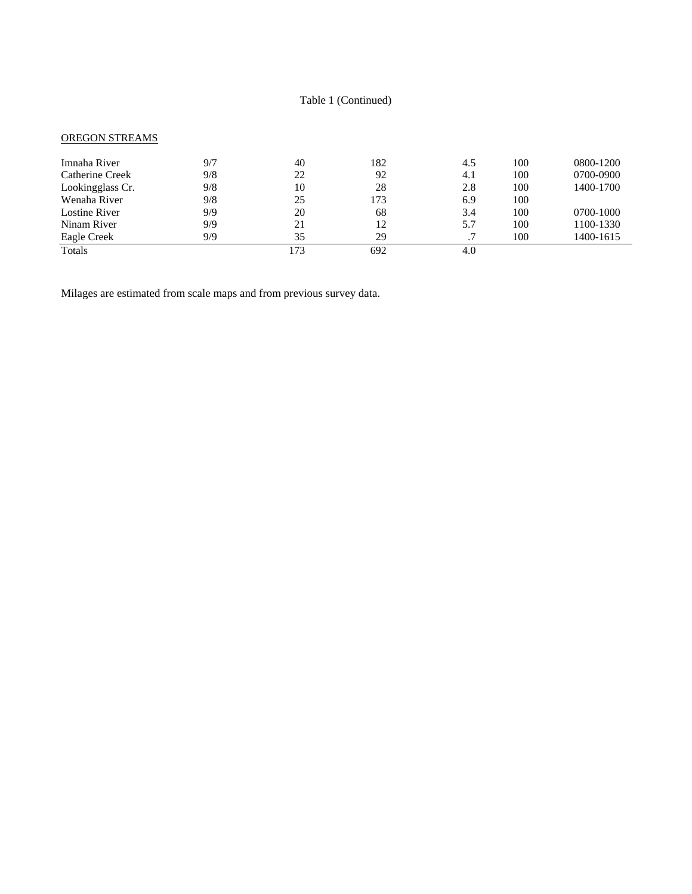## Table 1 (Continued)

## OREGON STREAMS

| Imnaha River     | 9/7 | 40  | 182 | 4.5 | 100 | 0800-1200 |
|------------------|-----|-----|-----|-----|-----|-----------|
| Catherine Creek  | 9/8 | 22  | 92  | 4.1 | 100 | 0700-0900 |
| Lookingglass Cr. | 9/8 | 10  | 28  | 2.8 | 100 | 1400-1700 |
| Wenaha River     | 9/8 | 25  | 173 | 6.9 | 100 |           |
| Lostine River    | 9/9 | 20  | 68  | 3.4 | 100 | 0700-1000 |
| Ninam River      | 9/9 | 21  | 12  | 5.7 | 100 | 1100-1330 |
| Eagle Creek      | 9/9 | 35  | 29  | .7  | 100 | 1400-1615 |
| Totals           |     | 173 | 692 | 4.0 |     |           |

Milages are estimated from scale maps and from previous survey data.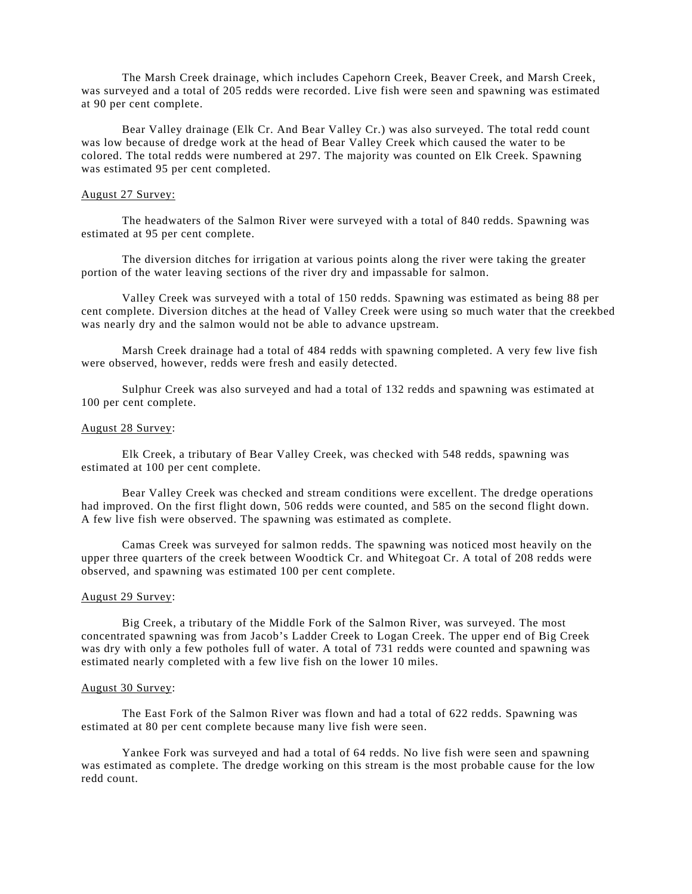The Marsh Creek drainage, which includes Capehorn Creek, Beaver Creek, and Marsh Creek, was surveyed and a total of 205 redds were recorded. Live fish were seen and spawning was estimated at 90 per cent complete.

Bear Valley drainage (Elk Cr. And Bear Valley Cr.) was also surveyed. The total redd count was low because of dredge work at the head of Bear Valley Creek which caused the water to be colored. The total redds were numbered at 297. The majority was counted on Elk Creek. Spawning was estimated 95 per cent completed.

#### August 27 Survey:

The headwaters of the Salmon River were surveyed with a total of 840 redds. Spawning was estimated at 95 per cent complete.

The diversion ditches for irrigation at various points along the river were taking the greater portion of the water leaving sections of the river dry and impassable for salmon.

Valley Creek was surveyed with a total of 150 redds. Spawning was estimated as being 88 per cent complete. Diversion ditches at the head of Valley Creek were using so much water that the creekbed was nearly dry and the salmon would not be able to advance upstream.

Marsh Creek drainage had a total of 484 redds with spawning completed. A very few live fish were observed, however, redds were fresh and easily detected.

Sulphur Creek was also surveyed and had a total of 132 redds and spawning was estimated at 100 per cent complete.

### August 28 Survey:

Elk Creek, a tributary of Bear Valley Creek, was checked with 548 redds, spawning was estimated at 100 per cent complete.

Bear Valley Creek was checked and stream conditions were excellent. The dredge operations had improved. On the first flight down, 506 redds were counted, and 585 on the second flight down. A few live fish were observed. The spawning was estimated as complete.

Camas Creek was surveyed for salmon redds. The spawning was noticed most heavily on the upper three quarters of the creek between Woodtick Cr. and Whitegoat Cr. A total of 208 redds were observed, and spawning was estimated 100 per cent complete.

#### August 29 Survey:

Big Creek, a tributary of the Middle Fork of the Salmon River, was surveyed. The most concentrated spawning was from Jacob's Ladder Creek to Logan Creek. The upper end of Big Creek was dry with only a few potholes full of water. A total of 731 redds were counted and spawning was estimated nearly completed with a few live fish on the lower 10 miles.

### August 30 Survey:

The East Fork of the Salmon River was flown and had a total of 622 redds. Spawning was estimated at 80 per cent complete because many live fish were seen.

Yankee Fork was surveyed and had a total of 64 redds. No live fish were seen and spawning was estimated as complete. The dredge working on this stream is the most probable cause for the low redd count.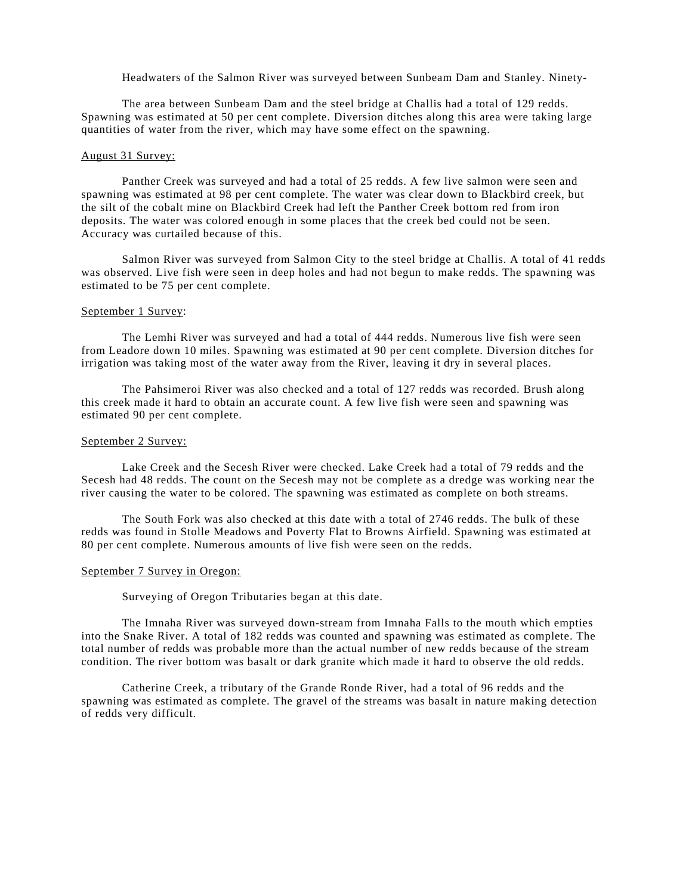Headwaters of the Salmon River was surveyed between Sunbeam Dam and Stanley. Ninety-

The area between Sunbeam Dam and the steel bridge at Challis had a total of 129 redds. Spawning was estimated at 50 per cent complete. Diversion ditches along this area were taking large quantities of water from the river, which may have some effect on the spawning.

### August 31 Survey:

Panther Creek was surveyed and had a total of 25 redds. A few live salmon were seen and spawning was estimated at 98 per cent complete. The water was clear down to Blackbird creek, but the silt of the cobalt mine on Blackbird Creek had left the Panther Creek bottom red from iron deposits. The water was colored enough in some places that the creek bed could not be seen. Accuracy was curtailed because of this.

Salmon River was surveyed from Salmon City to the steel bridge at Challis. A total of 41 redds was observed. Live fish were seen in deep holes and had not begun to make redds. The spawning was estimated to be 75 per cent complete.

### September 1 Survey:

The Lemhi River was surveyed and had a total of 444 redds. Numerous live fish were seen from Leadore down 10 miles. Spawning was estimated at 90 per cent complete. Diversion ditches for irrigation was taking most of the water away from the River, leaving it dry in several places.

The Pahsimeroi River was also checked and a total of 127 redds was recorded. Brush along this creek made it hard to obtain an accurate count. A few live fish were seen and spawning was estimated 90 per cent complete.

### September 2 Survey:

Lake Creek and the Secesh River were checked. Lake Creek had a total of 79 redds and the Secesh had 48 redds. The count on the Secesh may not be complete as a dredge was working near the river causing the water to be colored. The spawning was estimated as complete on both streams.

The South Fork was also checked at this date with a total of 2746 redds. The bulk of these redds was found in Stolle Meadows and Poverty Flat to Browns Airfield. Spawning was estimated at 80 per cent complete. Numerous amounts of live fish were seen on the redds.

### September 7 Survey in Oregon:

Surveying of Oregon Tributaries began at this date.

The Imnaha River was surveyed down-stream from Imnaha Falls to the mouth which empties into the Snake River. A total of 182 redds was counted and spawning was estimated as complete. The total number of redds was probable more than the actual number of new redds because of the stream condition. The river bottom was basalt or dark granite which made it hard to observe the old redds.

Catherine Creek, a tributary of the Grande Ronde River, had a total of 96 redds and the spawning was estimated as complete. The gravel of the streams was basalt in nature making detection of redds very difficult.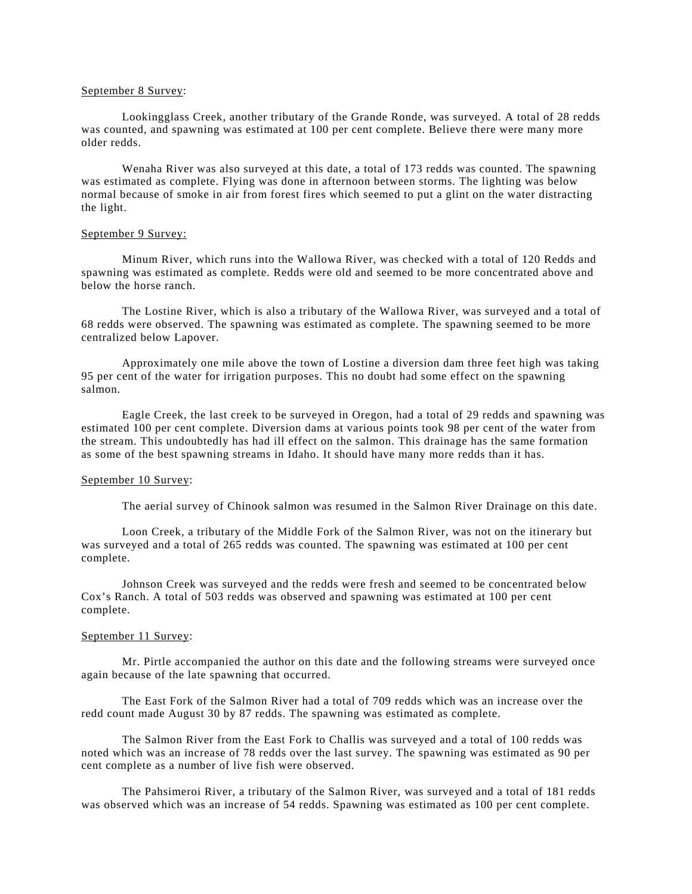#### September 8 Survey:

Lookingglass Creek, another tributary of the Grande Ronde, was surveyed. A total of 28 redds was counted, and spawning was estimated at 100 per cent complete. Believe there were many more older redds.

Wenaha River was also surveyed at this date, a total of 173 redds was counted. The spawning was estimated as complete. Flying was done in afternoon between storms. The lighting was below normal because of smoke in air from forest fires which seemed to put a glint on the water distracting the light.

#### September 9 Survey:

Minum River, which runs into the Wallowa River, was checked with a total of 120 Redds and spawning was estimated as complete. Redds were old and seemed to be more concentrated above and below the horse ranch.

The Lostine River, which is also a tributary of the Wallowa River, was surveyed and a total of 68 redds were observed. The spawning was estimated as complete. The spawning seemed to be more centralized below Lapover.

Approximately one mile above the town of Lostine a diversion dam three feet high was taking 95 per cent of the water for irrigation purposes. This no doubt had some effect on the spawning salmon.

Eagle Creek, the last creek to be surveyed in Oregon, had a total of 29 redds and spawning was estimated 100 per cent complete. Diversion dams at various points took 98 per cent of the water from the stream. This undoubtedly has had ill effect on the salmon. This drainage has the same formation as some of the best spawning streams in Idaho. It should have many more redds than it has.

#### September 10 Survey:

The aerial survey of Chinook salmon was resumed in the Salmon River Drainage on this date.

Loon Creek, a tributary of the Middle Fork of the Salmon River, was not on the itinerary but was surveyed and a total of 265 redds was counted. The spawning was estimated at 100 per cent complete.

Johnson Creek was surveyed and the redds were fresh and seemed to be concentrated below Cox's Ranch. A total of 503 redds was observed and spawning was estimated at 100 per cent complete.

### September 11 Survey:

Mr. Pirtle accompanied the author on this date and the following streams were surveyed once again because of the late spawning that occurred.

The East Fork of the Salmon River had a total of 709 redds which was an increase over the redd count made August 30 by 87 redds. The spawning was estimated as complete.

The Salmon River from the East Fork to Challis was surveyed and a total of 100 redds was noted which was an increase of 78 redds over the last survey. The spawning was estimated as 90 per cent complete as a number of live fish were observed.

The Pahsimeroi River, a tributary of the Salmon River, was surveyed and a total of 181 redds was observed which was an increase of 54 redds. Spawning was estimated as 100 per cent complete.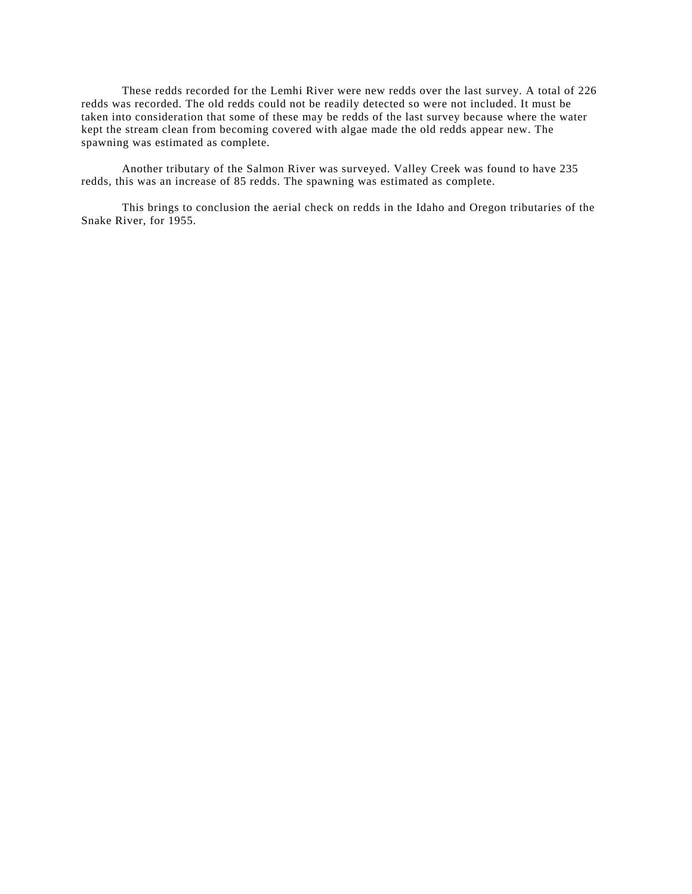These redds recorded for the Lemhi River were new redds over the last survey. A total of 226 redds was recorded. The old redds could not be readily detected so were not included. It must be taken into consideration that some of these may be redds of the last survey because where the water kept the stream clean from becoming covered with algae made the old redds appear new. The spawning was estimated as complete.

Another tributary of the Salmon River was surveyed. Valley Creek was found to have 235 redds, this was an increase of 85 redds. The spawning was estimated as complete.

This brings to conclusion the aerial check on redds in the Idaho and Oregon tributaries of the Snake River, for 1955.